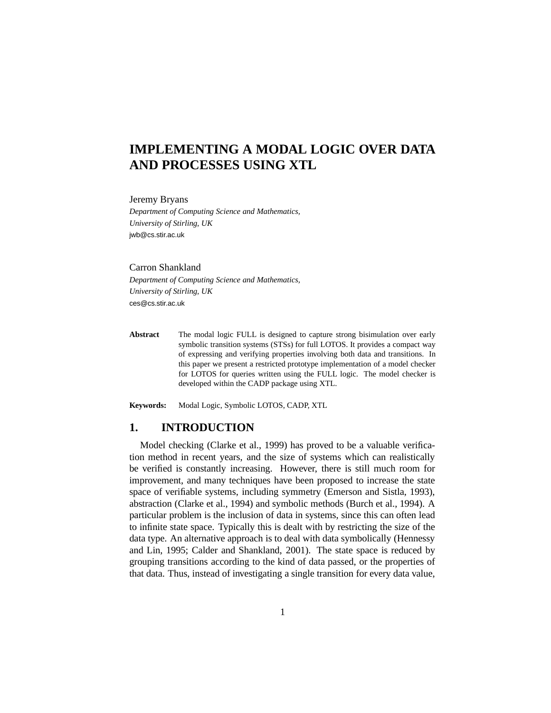# **IMPLEMENTING A MODAL LOGIC OVER DATA AND PROCESSES USING XTL**

Jeremy Bryans

*Department of Computing Science and Mathematics, University of Stirling, UK* jwb@cs.stir.ac.uk

Carron Shankland *Department of Computing Science and Mathematics, University of Stirling, UK* ces@cs.stir.ac.uk

**Abstract** The modal logic FULL is designed to capture strong bisimulation over early symbolic transition systems (STSs) for full LOTOS. It provides a compact way of expressing and verifying properties involving both data and transitions. In this paper we present a restricted prototype implementation of a model checker for LOTOS for queries written using the FULL logic. The model checker is developed within the CADP package using XTL.

**Keywords:** Modal Logic, Symbolic LOTOS, CADP, XTL

## **1. INTRODUCTION**

Model checking (Clarke et al., 1999) has proved to be a valuable verification method in recent years, and the size of systems which can realistically be verified is constantly increasing. However, there is still much room for improvement, and many techniques have been proposed to increase the state space of verifiable systems, including symmetry (Emerson and Sistla, 1993), abstraction (Clarke et al., 1994) and symbolic methods (Burch et al., 1994). A particular problem is the inclusion of data in systems, since this can often lead to infinite state space. Typically this is dealt with by restricting the size of the data type. An alternative approach is to deal with data symbolically (Hennessy and Lin, 1995; Calder and Shankland, 2001). The state space is reduced by grouping transitions according to the kind of data passed, or the properties of that data. Thus, instead of investigating a single transition for every data value,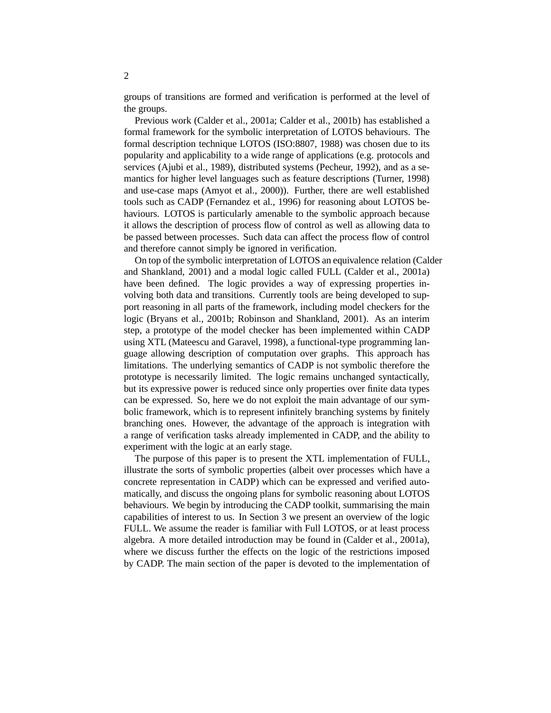groups of transitions are formed and verification is performed at the level of the groups.

Previous work (Calder et al., 2001a; Calder et al., 2001b) has established a formal framework for the symbolic interpretation of LOTOS behaviours. The formal description technique LOTOS (ISO:8807, 1988) was chosen due to its popularity and applicability to a wide range of applications (e.g. protocols and services (Ajubi et al., 1989), distributed systems (Pecheur, 1992), and as a semantics for higher level languages such as feature descriptions (Turner, 1998) and use-case maps (Amyot et al., 2000)). Further, there are well established tools such as CADP (Fernandez et al., 1996) for reasoning about LOTOS behaviours. LOTOS is particularly amenable to the symbolic approach because it allows the description of process flow of control as well as allowing data to be passed between processes. Such data can affect the process flow of control and therefore cannot simply be ignored in verification.

On top of the symbolic interpretation of LOTOS an equivalence relation (Calder and Shankland, 2001) and a modal logic called FULL (Calder et al., 2001a) have been defined. The logic provides a way of expressing properties involving both data and transitions. Currently tools are being developed to support reasoning in all parts of the framework, including model checkers for the logic (Bryans et al., 2001b; Robinson and Shankland, 2001). As an interim step, a prototype of the model checker has been implemented within CADP using XTL (Mateescu and Garavel, 1998), a functional-type programming language allowing description of computation over graphs. This approach has limitations. The underlying semantics of CADP is not symbolic therefore the prototype is necessarily limited. The logic remains unchanged syntactically, but its expressive power is reduced since only properties over finite data types can be expressed. So, here we do not exploit the main advantage of our symbolic framework, which is to represent infinitely branching systems by finitely branching ones. However, the advantage of the approach is integration with a range of verification tasks already implemented in CADP, and the ability to experiment with the logic at an early stage.

The purpose of this paper is to present the XTL implementation of FULL, illustrate the sorts of symbolic properties (albeit over processes which have a concrete representation in CADP) which can be expressed and verified automatically, and discuss the ongoing plans for symbolic reasoning about LOTOS behaviours. We begin by introducing the CADP toolkit, summarising the main capabilities of interest to us. In Section 3 we present an overview of the logic FULL. We assume the reader is familiar with Full LOTOS, or at least process algebra. A more detailed introduction may be found in (Calder et al., 2001a), where we discuss further the effects on the logic of the restrictions imposed by CADP. The main section of the paper is devoted to the implementation of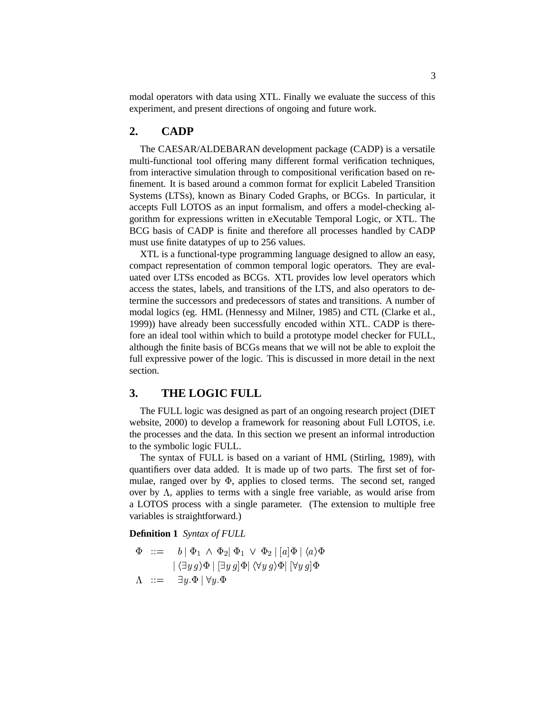modal operators with data using XTL. Finally we evaluate the success of this experiment, and present directions of ongoing and future work.

#### **2. CADP**

The CAESAR/ALDEBARAN development package (CADP) is a versatile multi-functional tool offering many different formal verification techniques, from interactive simulation through to compositional verification based on refinement. It is based around a common format for explicit Labeled Transition Systems (LTSs), known as Binary Coded Graphs, or BCGs. In particular, it accepts Full LOTOS as an input formalism, and offers a model-checking algorithm for expressions written in eXecutable Temporal Logic, or XTL. The BCG basis of CADP is finite and therefore all processes handled by CADP must use finite datatypes of up to 256 values.

XTL is a functional-type programming language designed to allow an easy, compact representation of common temporal logic operators. They are evaluated over LTSs encoded as BCGs. XTL provides low level operators which access the states, labels, and transitions of the LTS, and also operators to determine the successors and predecessors of states and transitions. A number of modal logics (eg. HML (Hennessy and Milner, 1985) and CTL (Clarke et al., 1999)) have already been successfully encoded within XTL. CADP is therefore an ideal tool within which to build a prototype model checker for FULL, although the finite basis of BCGs means that we will not be able to exploit the full expressive power of the logic. This is discussed in more detail in the next section.

#### **3. THE LOGIC FULL**

The FULL logic was designed as part of an ongoing research project (DIET website, 2000) to develop a framework for reasoning about Full LOTOS, i.e. the processes and the data. In this section we present an informal introduction to the symbolic logic FULL.

The syntax of FULL is based on a variant of HML (Stirling, 1989), with quantifiers over data added. It is made up of two parts. The first set of formulae, ranged over by  $\Phi$ , applies to closed terms. The second set, ranged over by  $\Lambda$ , applies to terms with a single free variable, as would arise from a LOTOS process with a single parameter. (The extension to multiple free variables is straightforward.)

#### **Definition 1** *Syntax of FULL*

$$
\Phi \ ::= \ b | \Phi_1 \wedge \Phi_2 | \Phi_1 \vee \Phi_2 | [a] \Phi | \langle a \rangle \Phi
$$
  
 
$$
| \langle \exists y g \rangle \Phi | [\exists y g] \Phi | \langle \forall y g \rangle \Phi | [\forall y g] \Phi
$$
  
 
$$
\Lambda \ ::= \exists y . \Phi | \forall y . \Phi
$$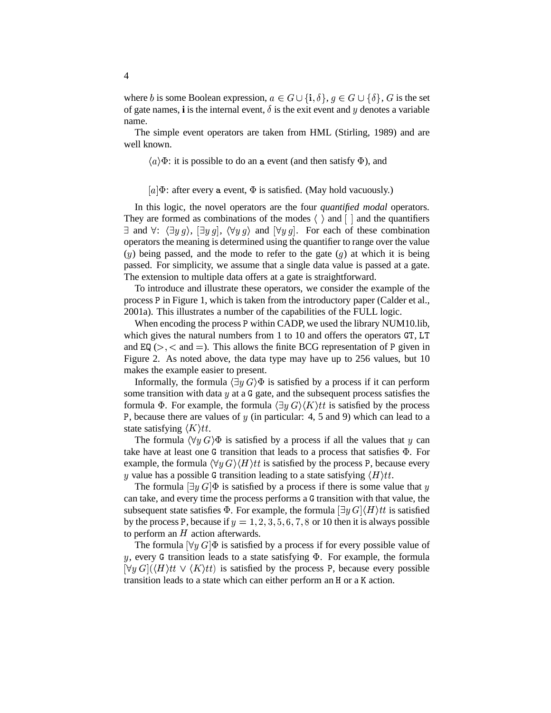where b is some Boolean expression,  $a \in G \cup \{i, \delta\}, g \in G \cup \{\delta\}, G$  is the set of gate names, **i** is the internal event,  $\delta$  is the exit event and  $y$  denotes a variable name.

The simple event operators are taken from HML (Stirling, 1989) and are well known.

 $\langle a \rangle \Phi$ : it is possible to do an a event (and then satisfy  $\Phi$ ), and

[a] $\Phi$ : after every a event,  $\Phi$  is satisfied. (May hold vacuously.)

In this logic, the novel operators are the four *quantified modal* operators. They are formed as combinations of the modes  $\langle \ \rangle$  and  $\lceil \ \rceil$  and the quantifiers  $\exists$  and  $\forall$ :  $\langle \exists y g \rangle$ ,  $[\exists y g]$ ,  $\langle \forall y g \rangle$  and  $[\forall y g]$ . For each of these combination operators the meaning is determined using the quantifier to range over the value  $(y)$  being passed, and the mode to refer to the gate  $(g)$  at which it is being passed. For simplicity, we assume that a single data value is passed at a gate. The extension to multiple data offers at a gate is straightforward.

To introduce and illustrate these operators, we consider the example of the process P in Figure 1, which is taken from the introductory paper (Calder et al., 2001a). This illustrates a number of the capabilities of the FULL logic.

When encoding the process P within CADP, we used the library NUM10.lib, which gives the natural numbers from  $1$  to  $10$  and offers the operators  $GT$ ,  $LT$ and  $EQ \, (>,\lt;$  and  $=$ ). This allows the finite BCG representation of P given in Figure 2. As noted above, the data type may have up to 256 values, but 10 makes the example easier to present.

Informally, the formula  $\langle \exists y G \rangle \Phi$  is satisfied by a process if it can perform some transition with data  $y$  at a  $G$  gate, and the subsequent process satisfies the formula  $\Phi$ . For example, the formula  $\langle \exists y G \rangle \langle K \rangle t$  is satisfied by the process P, because there are values of  $y$  (in particular: 4, 5 and 9) which can lead to a state satisfying  $\langle K \rangle t$ .

The formula  $\langle \forall y | G \rangle \Phi$  is satisfied by a process if all the values that y can take have at least one G transition that leads to a process that satisfies  $\Phi$ . For example, the formula  $\langle \forall y G \rangle \langle H \rangle t$  is satisfied by the process P, because every y value has a possible G transition leading to a state satisfying  $\langle H \rangle tt$ .

The formula  $[\exists y G] \Phi$  is satisfied by a process if there is some value that y can take, and every time the process performs a G transition with that value, the subsequent state satisfies  $\Phi$ . For example, the formula  $[\exists y \, G] \langle H \rangle t$  is satisfied by the process P, because if  $y = 1, 2, 3, 5, 6, 7, 8$  or 10 then it is always possible to perform an  $H$  action afterwards.

The formula  $[\forall y \, G] \Phi$  is satisfied by a process if for every possible value of  $y$ , every G transition leads to a state satisfying  $\Phi$ . For example, the formula  $\forall y \, G \, | \, \langle H \rangle t \, t \vee \langle K \rangle t \, t$  is satisfied by the process P, because every possible transition leads to a state which can either perform an  $H$  or a  $K$  action.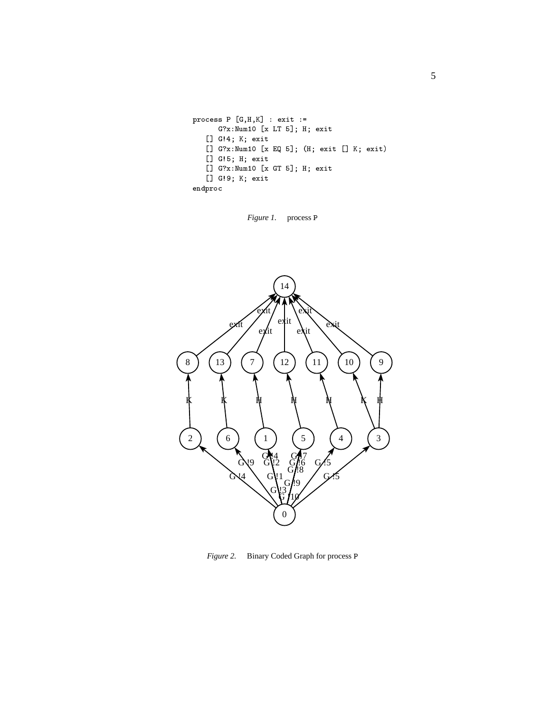```
-
-
-

	

    -
 !"#%$'&(
)	*,+-.-/0
  [] G!4; K; exit
  1-
 !"#%$'&(
9:1+-1;-/<=-/8>
 [] G!5; H; exit
  1-
 !"#%$'&(
@%*,+-.-/0
  [] G!9; K; exit
\cdots and \cdots
```
*Figure 1.* process P



*Figure* 2. Binary Coded Graph for process P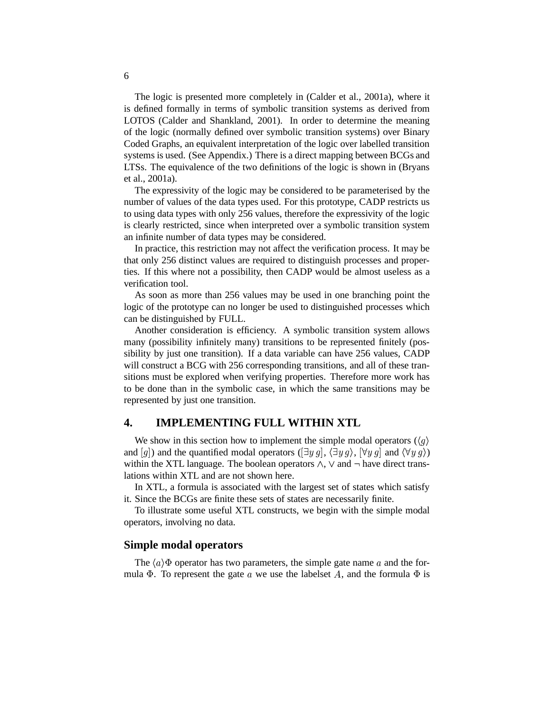The logic is presented more completely in (Calder et al., 2001a), where it is defined formally in terms of symbolic transition systems as derived from LOTOS (Calder and Shankland, 2001). In order to determine the meaning of the logic (normally defined over symbolic transition systems) over Binary Coded Graphs, an equivalent interpretation of the logic over labelled transition systems is used. (See Appendix.) There is a direct mapping between BCGs and LTSs. The equivalence of the two definitions of the logic is shown in (Bryans et al., 2001a).

The expressivity of the logic may be considered to be parameterised by the number of values of the data types used. For this prototype, CADP restricts us to using data types with only 256 values, therefore the expressivity of the logic is clearly restricted, since when interpreted over a symbolic transition system an infinite number of data types may be considered.

In practice, this restriction may not affect the verification process. It may be that only 256 distinct values are required to distinguish processes and properties. If this where not a possibility, then CADP would be almost useless as a verification tool.

As soon as more than 256 values may be used in one branching point the logic of the prototype can no longer be used to distinguished processes which can be distinguished by FULL.

Another consideration is efficiency. A symbolic transition system allows many (possibility infinitely many) transitions to be represented finitely (possibility by just one transition). If a data variable can have 256 values, CADP will construct a BCG with 256 corresponding transitions, and all of these transitions must be explored when verifying properties. Therefore more work has to be done than in the symbolic case, in which the same transitions may be represented by just one transition.

## **4. IMPLEMENTING FULL WITHIN XTL**

We show in this section how to implement the simple modal operators ( $\langle q \rangle$ ) and  $[g]$ ) and the quantified modal operators  $(\exists y \, g, \, \langle \exists y \, g \rangle, \, \langle \forall y \, g \rangle$  and  $\langle \forall y \, g \rangle$ ) within the XTL language. The boolean operators  $\wedge$ ,  $\vee$  and  $\neg$  have direct translations within XTL and are not shown here.

In XTL, a formula is associated with the largest set of states which satisfy it. Since the BCGs are finite these sets of states are necessarily finite.

To illustrate some useful XTL constructs, we begin with the simple modal operators, involving no data.

#### **Simple modal operators**

The  $\langle a \rangle$   $\Phi$  operator has two parameters, the simple gate name a and the formula  $\Phi$ . To represent the gate a we use the labelset A, and the formula  $\Phi$  is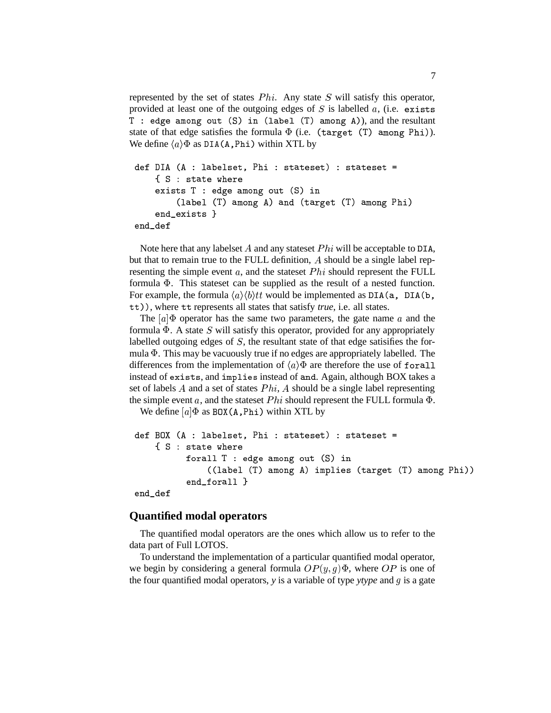represented by the set of states  $Phi$ . Any state  $S$  will satisfy this operator, provided at least one of the outgoing edges of  $S$  is labelled  $a$ , (i.e. exists T : edge among out  $(S)$  in (label  $(T)$  among A)), and the resultant state of that edge satisfies the formula  $\Phi$  (i.e. (target (T) among Phi)). We define  $\langle a \rangle \Phi$  as DIA(A, Phi) within XTL by

```
def DIA (A : labelset, Phi : stateset) : stateset =
         \{ S : state where
        exists T : edge among out (S) in
                 \===== \-) ===== \-== \-== \-; \-) ===== \-
         in the contract of the contract of the contract of the contract of the contract of the contract of the contract of the contract of the contract of the contract of the contract of the contract of the contract of the contrac
end def
```
Note here that any labelset A and any stateset  $Phi$  will be acceptable to DIA, but that to remain true to the FULL definition, A should be a single label representing the simple event  $a$ , and the stateset  $Phi$  should represent the FULL formula  $\Phi$ . This stateset can be supplied as the result of a nested function. For example, the formula  $\langle a \rangle \langle b \rangle tt$  would be implemented as DIA (a, DIA (b, tt)), where tt represents all states that satisfy *true*, i.e. all states.

The  $[a]$   $\Phi$  operator has the same two parameters, the gate name a and the formula  $\Phi$ . A state  $S$  will satisfy this operator, provided for any appropriately labelled outgoing edges of  $S$ , the resultant state of that edge satisifies the formula  $\Phi$ . This may be vacuously true if no edges are appropriately labelled. The differences from the implementation of  $\langle a \rangle \Phi$  are therefore the use of forall instead of exists, and implies instead of and. Again, although BOX takes a set of labels A and a set of states  $Phi$ , A should be a single label representing the simple event a, and the stateset  $Phi$  should represent the FULL formula  $\Phi$ .

We define  $[a] \Phi$  as BOX (A, Phi) within XTL by

```
def BOX (A : labelset, Phi : stateset) : stateset =
    \{ S : state where
         forall T : edge among out (S) in
             I& (0&X 
" 0)@,
"@	6R
&	)X-
 .)
/ 
" 0) 21+	""
         end forall }
end_def
```
#### **Quantified modal operators**

The quantified modal operators are the ones which allow us to refer to the data part of Full LOTOS.

To understand the implementation of a particular quantified modal operator, we begin by considering a general formula  $OP(y, g)\Phi$ , where  $OP$  is one of the four quantified modal operators,  $y$  is a variable of type  $ytype$  and  $g$  is a gate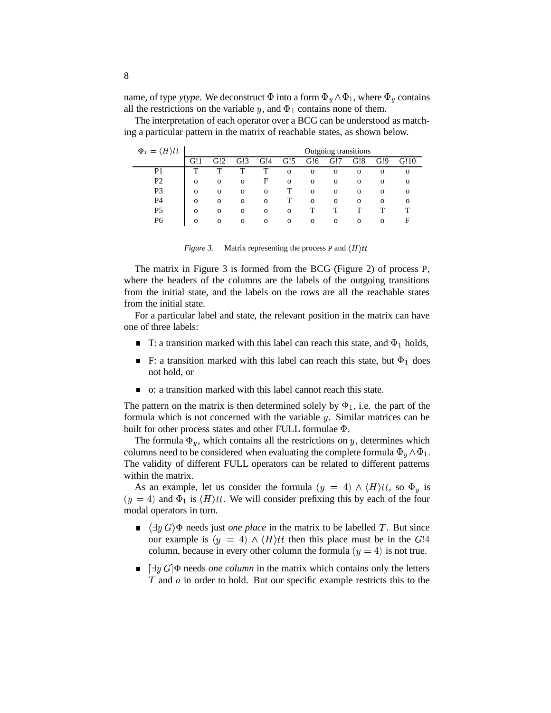name, of type *ytype*. We deconstruct  $\Phi$  into a form  $\Phi_y \wedge \Phi_1$ , where  $\Phi_y$  contains all the restrictions on the variable y, and  $\Phi_1$  contains none of them.

The interpretation of each operator over a BCG can be understood as matching a particular pattern in the matrix of reachable states, as shown below.

| $\Phi_1 = \langle H \rangle tt$ | Outgoing transitions |              |              |              |              |              |              |              |          |          |
|---------------------------------|----------------------|--------------|--------------|--------------|--------------|--------------|--------------|--------------|----------|----------|
|                                 | G!1                  | G!2          | G!3          | G!4          | G!5          | G!6          | G!7          | G!8          | G!9      |          |
| P <sub>1</sub>                  | т                    | ᡣ            | ᡣ            | ௱            | $\mathbf{O}$ | $\mathbf{O}$ | $\Omega$     | $\Omega$     | $\Omega$ | $\Omega$ |
| P <sub>2</sub>                  | $\mathbf{O}$         | $\mathbf{O}$ | $\mathbf{O}$ | F            | $\mathbf{O}$ | $\mathbf{O}$ | $\Omega$     | $\mathbf 0$  | 0        | $\Omega$ |
| P <sub>3</sub>                  | $\mathbf{O}$         | $\mathbf{O}$ | $\Omega$     | $\mathbf{O}$ |              | $\mathbf{O}$ | $\Omega$     | $\mathbf{O}$ | $\Omega$ | $\Omega$ |
| P4                              | $\mathbf{O}$         | $\mathbf{O}$ | $\mathbf{O}$ | $\mathbf{O}$ |              | $\mathbf{O}$ | $\mathbf{O}$ | $\Omega$     | $\Omega$ | $\Omega$ |
| P <sub>5</sub>                  | $\Omega$             | $\Omega$     | $\Omega$     | $\Omega$     | $\Omega$     |              |              |              |          |          |
| P6                              | $\mathbf{O}$         | $\Omega$     | $\Omega$     | $\mathbf{O}$ | $\Omega$     | $\Omega$     | $\Omega$     | $\Omega$     | $\Omega$ | E        |

*Figure* 3. Matrix representing the process P and  $\langle H \rangle t t$ 

The matrix in Figure  $3$  is formed from the BCG (Figure 2) of process  $P$ , where the headers of the columns are the labels of the outgoing transitions from the initial state, and the labels on the rows are all the reachable states from the initial state.

For a particular label and state, the relevant position in the matrix can have one of three labels:

- T: a transition marked with this label can reach this state, and  $\Phi_1$  holds,  $\blacksquare$
- F: a transition marked with this label can reach this state, but  $\Phi_1$  does  $\blacksquare$ not hold, or
- o: a transition marked with this label cannot reach this state.

The pattern on the matrix is then determined solely by  $\Phi_1$ , i.e. the part of the formula which is not concerned with the variable  $y$ . Similar matrices can be built for other process states and other FULL formulae Φ.

The formula  $\Phi_y$ , which contains all the restrictions on y, determines which columns need to be considered when evaluating the complete formula  $\Phi_{\nu} \wedge \Phi_1$ . The validity of different FULL operators can be related to different patterns within the matrix.

As an example, let us consider the formula  $(y = 4) \wedge \langle H \rangle tt$ , so  $\Phi_y$  is  $(y = 4)$  and  $\Phi_1$  is  $\langle H \rangle tt$ . We will consider prefixing this by each of the four modal operators in turn.

- $\langle \exists y G \rangle \Phi$  needs just *one place* in the matrix to be labelled T. But since our example is  $(y = 4) \wedge \langle H \rangle tt$  then this place must be in the G!4 column, because in every other column the formula  $(y = 4)$  is not true.
- $[\exists y G] \Phi$  needs *one column* in the matrix which contains only the letters  $\blacksquare$  $T$  and  $\sigma$  in order to hold. But our specific example restricts this to the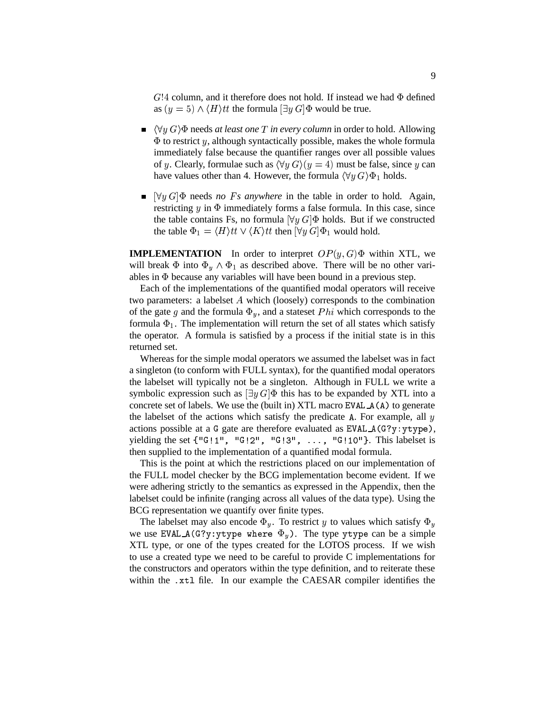$G!4$  column, and it therefore does not hold. If instead we had  $\Phi$  defined as  $(y = 5) \wedge \langle H \rangle$ tt the formula  $[\exists y \, G] \Phi$  would be true.

- $\langle \forall y | G \rangle$   $\Phi$  needs *at least one*  $T$  *in every column* in order to hold. Allowing  $\Phi$  to restrict y, although syntactically possible, makes the whole formula immediately false because the quantifier ranges over all possible values of y. Clearly, formulae such as  $\langle \forall y G \rangle (y = 4)$  must be false, since y can have values other than 4. However, the formula  $\langle \forall y G \rangle \Phi_1$  holds.
- $[\forall y \ G]$  $\Phi$  needs *no Fs anywhere* in the table in order to hold. Again, restricting  $y$  in  $\Phi$  immediately forms a false formula. In this case, since the table contains Fs, no formula  $[\forall y \, G] \Phi$  holds. But if we constructed the table  $\Phi_1 = \langle H \rangle tt \vee \langle K \rangle tt$  then  $[\forall y \, G] \Phi_1$  would hold.

**IMPLEMENTATION** In order to interpret  $OP(y, G)$  $\Phi$  within XTL, we will break  $\Phi$  into  $\Phi_{\nu} \wedge \Phi_1$  as described above. There will be no other variables in because any variables will have been bound in a previous step.

Each of the implementations of the quantified modal operators will receive two parameters: a labelset  $A$  which (loosely) corresponds to the combination of the gate g and the formula  $\Phi_y$ , and a stateset Phi which corresponds to the formula  $\Phi_1$ . The implementation will return the set of all states which satisfy the operator. A formula is satisfied by a process if the initial state is in this returned set.

Whereas for the simple modal operators we assumed the labelset was in fact a singleton (to conform with FULL syntax), for the quantified modal operators the labelset will typically not be a singleton. Although in FULL we write a symbolic expression such as  $[\exists y G] \Phi$  this has to be expanded by XTL into a concrete set of labels. We use the (built in) XTL macro EVAL  $A(A)$  to generate the labelset of the actions which satisfy the predicate A. For example, all  $y$ actions possible at a G gate are therefore evaluated as EVAL\_A(G?y:ytype), yielding the set  $\{^{\mathsf{u}}\mathsf{G}!1^{\mathsf{u}}, \mathsf{^{\mathsf{u}}}\mathsf{G}!2^{\mathsf{u}}, \mathsf{^{\mathsf{u}}}\mathsf{G}!3^{\mathsf{u}}, \ldots, \mathsf{^{\mathsf{u}}}\mathsf{G}!10^{\mathsf{u}}\}$ . This labelset is then supplied to the implementation of a quantified modal formula.

This is the point at which the restrictions placed on our implementation of the FULL model checker by the BCG implementation become evident. If we were adhering strictly to the semantics as expressed in the Appendix, then the labelset could be infinite (ranging across all values of the data type). Using the BCG representation we quantify over finite types.

The labelset may also encode  $\Phi_y$ . To restrict y to values which satisfy  $\Phi_y$ we use EVAL  $\mathcal{A}(\mathbb{G}?\mathbb{y}: \mathbb{y}$ type where  $\Phi_y$ ). The type ytype can be a simple XTL type, or one of the types created for the LOTOS process. If we wish to use a created type we need to be careful to provide C implementations for the constructors and operators within the type definition, and to reiterate these within the .xtl file. In our example the CAESAR compiler identifies the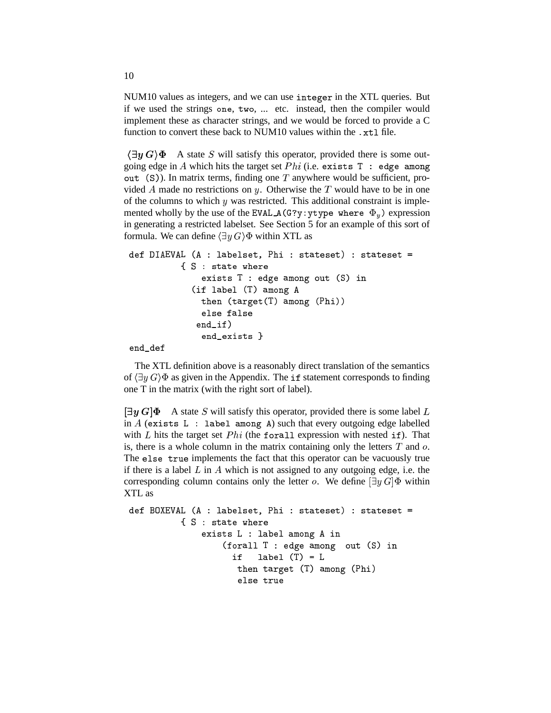NUM10 values as integers, and we can use integer in the XTL queries. But if we used the strings one, two, ... etc. instead, then the compiler would implement these as character strings, and we would be forced to provide a C function to convert these back to NUM10 values within the .xt1 file.

 $\langle \exists y | G \rangle \Phi$  A state S will satisfy this operator, provided there is some outgoing edge in A which hits the target set  $Phi$  (i.e. exists T : edge among out  $(S)$ ). In matrix terms, finding one T anywhere would be sufficient, provided A made no restrictions on y. Otherwise the  $T$  would have to be in one of the columns to which  $y$  was restricted. This additional constraint is implemented wholly by the use of the EVAL\_A (G?y : ytype where  $|\Phi_y\rangle$  expression in generating a restricted labelset. See Section 5 for an example of this sort of formula. We can define  $\langle \exists y \, G \rangle \Phi$  within XTL as

```
:#354$,*-
, -,FV& )(&
 8 1+	=>

)
+" <$
 )
)
 ?
       \{ S : state where
          )
	$

! "@	$
         \== ==== \=; ===== \
          then (target(T) among (Phi))
          else false
         end if)
              "
          end exists }
```
end\_def

The XTL definition above is a reasonably direct translation of the semantics of  $\langle \exists y G \rangle \Phi$  as given in the Appendix. The if statement corresponds to finding one T in the matrix (with the right sort of label).

 $[\exists y G] \Phi$  A state S will satisfy this operator, provided there is some label L in  $A$  (exists L : label among A) such that every outgoing edge labelled with  $L$  hits the target set  $Phi$  (the forall expression with nested if). That is, there is a whole column in the matrix containing only the letters  $T$  and  $\varrho$ . The else true implements the fact that this operator can be vacuously true if there is a label  $L$  in  $A$  which is not assigned to any outgoing edge, i.e. the corresponding column contains only the letter *o*. We define  $[\exists y G]\Phi$  within XTL as

```
:@STU*-
, -,FV& )(&
 8 1+	=>

)
+" <$
 )
)
 ?
       \{ S : state where
          )
	$
  <&)(0&0)@, 	$
             (forall T : edge among out (S) in
               i f
               	: &)(0&* 
"L? 

210H
 2.)
/ 
" = 21
	"
                else true
```
10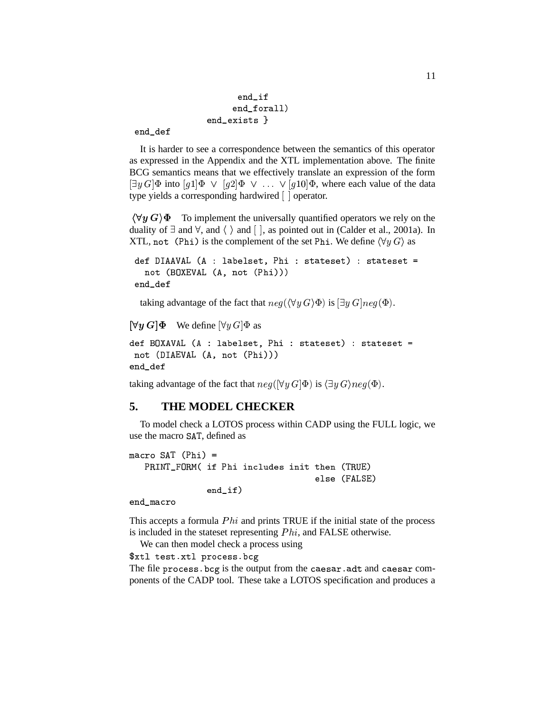```
end_if
     end_forall)
end_exists }
```
end def

It is harder to see a correspondence between the semantics of this operator as expressed in the Appendix and the XTL implementation above. The finite BCG semantics means that we effectively translate an expression of the form  $[\exists y G] \Phi$  into  $[g1] \Phi \lor [g2] \Phi \lor \dots \lor [g10] \Phi$ , where each value of the data type yields a corresponding hardwired [ ] operator.

 $\langle \forall y | G \rangle \Phi$  To implement the universally quantified operators we rely on the duality of  $\exists$  and  $\forall$ , and  $\langle \rangle$  and  $[ \ ]$ , as pointed out in (Calder et al., 2001a). In XTL, not (Phi) is the complement of the set Phi. We define  $\langle \forall y G \rangle$  as

```
def DIAAVAL (A : labelset, Phi : stateset) : stateset =
  0)
;ST)U, ;, 8 0
 21
	"""
end_def
```
taking advantage of the fact that  $neg(\langle \forall y \ G \rangle \Phi)$  is  $[\exists y \ G]neg(\Phi)$ .

```
[\forall y \, G] \Phi We define [\forall y \, G] \Phi as
```

```
\blacksquare0)
-3+4$,,*=;, 8 0
 21
	"""
end def
J2:
```
taking advantage of the fact that  $neg([\forall y \ G]\Phi)$  is  $\langle \exists y \ G \rangle neg(\Phi)$ .

## **5. THE MODEL CHECKER**

To model check a LOTOS process within CADP using the FULL logic, we use the macro SAT, defined as

```
macro SAT (Phi) =

4
	*JT
7C	: 21+	 	62& 	$+	$

1)B 
"
                                                                                                               \sim , where \sim , \sim , \sim , \sim , \sim , \sim , \sim , \sim , \sim , \sim , \sim , \sim , \sim , \sim , \sim , \sim , \sim , \sim , \sim , \sim , \sim , \sim , \sim , \sim , \sim , \sim , \sim , \sim , \sim , \sim 
                                              end if)<u>. . . . . .</u>
```

```
end macro
```
This accepts a formula  $Phi$  and prints TRUE if the initial state of the process is included in the stateset representing  $Phi$ , and FALSE otherwise.

We can then model check a process using

```
$xtl test.xtl process.bcg
```
The file process. bcg is the output from the caesar. adt and caesar components of the CADP tool. These take a LOTOS specification and produces a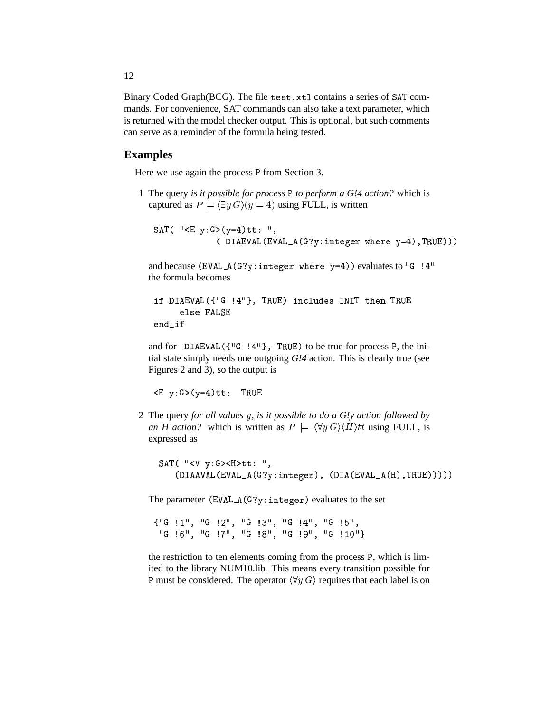Binary Coded Graph(BCG). The file test. xtl contains a series of SAT commands. For convenience, SAT commands can also take a text parameter, which is returned with the model checker output. This is optional, but such comments can serve as a reminder of the formula being tested.

#### **Examples**

Here we use again the process P from Section 3.

1 The query *is it possible for process to perform a G!4 action?* which is captured as  $P \models \langle \exists y \, G \rangle (y = 4)$  using FULL, is written

SAT( "<E y:G>(y=4)tt: ", G3546,-, -,J,7 W 6
2). D12. ? " 8\$ """

and because (EVAL\_A(G?y:integer where y=4))evaluates to "G !4" the formula becomes

```
if DIAEVAL({"G !4"}, TRUE) includes INIT then TRUE
    else FALSE
end if
J	:
```
and for  $DIAEVAL$  ({"G!4"}, TRUE) to be true for process P, the initial state simply needs one outgoing *G!4* action. This is clearly true (see Figures 2 and 3), so the output is

TRUE - ? "\$


2 The query *for all values y, is it possible to do a G!y action followed by an H action?* which is written as  $P = \langle \forall y \ G \rangle \langle H \rangle t$  using FULL, is expressed as

 ,7 - 5 -)

Q <sup>8</sup> P354\$,,,N -,J),7 QW 6
)." <sup>8</sup> -3+4\$,7 -,J),7 5+" 8\$ """""

The parameter (EVAL\_A(G?y:integer) evaluates to the set

{"G !1", "G !2", "G !3", "G !4", "G !5", "G !6", "G !7", "G !8", "G !9", "G !10"}

the restriction to ten elements coming from the process P, which is limited to the library NUM10.lib. This means every transition possible for P must be considered. The operator  $\langle \forall y | G \rangle$  requires that each label is on

12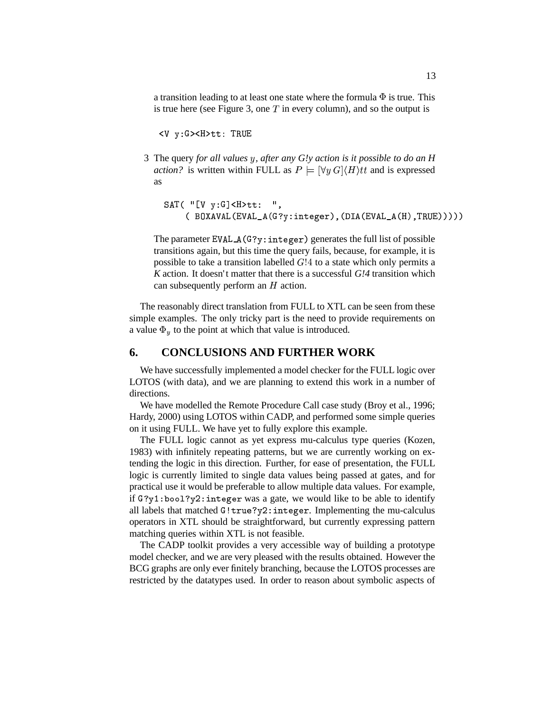a transition leading to at least one state where the formula  $\Phi$  is true. This is true here (see Figure 3, one  $T$  in every column), and so the output is

<V y:G><H>tt: TRUE

3 The query for all values y, after any G!y action is it possible to do an H *action?* is written within FULL as  $P \models [\forall y \, G] \langle H \rangle t$  and is expressed as

```
SAT( "[V y:G]<H>tt: ",
    VSTU,,N -
,J),7  QW	6
.
"582P354 ,7,*J,7 5+"58 ""2"""
```
The parameter  $EVAL_A(G?y:integer)$  generates the full list of possible transitions again, but this time the query fails, because, for example, it is possible to take a transition labelled  $G/4$  to a state which only permits a *K* action. It doesn't matter that there is a successful *G!4* transition which can subsequently perform an  $H$  action.

The reasonably direct translation from FULL to XTL can be seen from these simple examples. The only tricky part is the need to provide requirements on a value  $\Phi_{\nu}$  to the point at which that value is introduced.

### **6. CONCLUSIONS AND FURTHER WORK**

We have successfully implemented a model checker for the FULL logic over LOTOS (with data), and we are planning to extend this work in a number of directions.

We have modelled the Remote Procedure Call case study (Broy et al., 1996; Hardy, 2000) using LOTOS within CADP, and performed some simple queries on it using FULL. We have yet to fully explore this example.

The FULL logic cannot as yet express mu-calculus type queries (Kozen, 1983) with infinitely repeating patterns, but we are currently working on extending the logic in this direction. Further, for ease of presentation, the FULL logic is currently limited to single data values being passed at gates, and for practical use it would be preferable to allow multiple data values. For example, if  $G?y1:bool?y2:integer was a gate, we would like to be able to identify$ all labels that matched G!true?y2:integer. Implementing the mu-calculus operators in XTL should be straightforward, but currently expressing pattern matching queries within XTL is not feasible.

The CADP toolkit provides a very accessible way of building a prototype model checker, and we are very pleased with the results obtained. However the BCG graphs are only ever finitely branching, because the LOTOS processes are restricted by the datatypes used. In order to reason about symbolic aspects of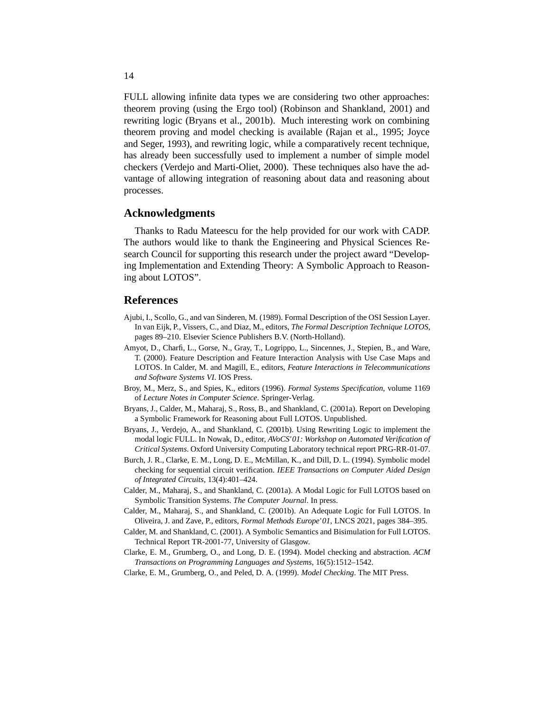FULL allowing infinite data types we are considering two other approaches: theorem proving (using the Ergo tool) (Robinson and Shankland, 2001) and rewriting logic (Bryans et al., 2001b). Much interesting work on combining theorem proving and model checking is available (Rajan et al., 1995; Joyce and Seger, 1993), and rewriting logic, while a comparatively recent technique, has already been successfully used to implement a number of simple model checkers (Verdejo and Marti-Oliet, 2000). These techniques also have the advantage of allowing integration of reasoning about data and reasoning about processes.

#### **Acknowledgments**

Thanks to Radu Mateescu for the help provided for our work with CADP. The authors would like to thank the Engineering and Physical Sciences Research Council for supporting this research under the project award "Developing Implementation and Extending Theory: A Symbolic Approach to Reasoning about LOTOS".

#### **References**

- Ajubi, I., Scollo, G., and van Sinderen, M. (1989). Formal Description of the OSI Session Layer. In van Eijk, P., Vissers, C., and Diaz, M., editors, *The Formal Description Technique LOTOS*, pages 89–210. Elsevier Science Publishers B.V. (North-Holland).
- Amyot, D., Charfi, L., Gorse, N., Gray, T., Logrippo, L., Sincennes, J., Stepien, B., and Ware, T. (2000). Feature Description and Feature Interaction Analysis with Use Case Maps and LOTOS. In Calder, M. and Magill, E., editors, *Feature Interactions in Telecommunications and Software Systems VI*. IOS Press.
- Broy, M., Merz, S., and Spies, K., editors (1996). *Formal Systems Specification*, volume 1169 of *Lecture Notes in Computer Science*. Springer-Verlag.
- Bryans, J., Calder, M., Maharaj, S., Ross, B., and Shankland, C. (2001a). Report on Developing a Symbolic Framework for Reasoning about Full LOTOS. Unpublished.
- Bryans, J., Verdejo, A., and Shankland, C. (2001b). Using Rewriting Logic to implement the modal logic FULL. In Nowak, D., editor, *AVoCS'01: Workshop on Automated Verification of Critical Systems*. Oxford University Computing Laboratory technical report PRG-RR-01-07.
- Burch, J. R., Clarke, E. M., Long, D. E., McMillan, K., and Dill, D. L. (1994). Symbolic model checking for sequential circuit verification. *IEEE Transactions on Computer Aided Design of Integrated Circuits*, 13(4):401–424.
- Calder, M., Maharaj, S., and Shankland, C. (2001a). A Modal Logic for Full LOTOS based on Symbolic Transition Systems. *The Computer Journal*. In press.
- Calder, M., Maharaj, S., and Shankland, C. (2001b). An Adequate Logic for Full LOTOS. In Oliveira, J. and Zave, P., editors, *Formal Methods Europe'01*, LNCS 2021, pages 384–395.
- Calder, M. and Shankland, C. (2001). A Symbolic Semantics and Bisimulation for Full LOTOS. Technical Report TR-2001-77, University of Glasgow.
- Clarke, E. M., Grumberg, O., and Long, D. E. (1994). Model checking and abstraction. *ACM Transactions on Programming Languages and Systems*, 16(5):1512–1542.
- Clarke, E. M., Grumberg, O., and Peled, D. A. (1999). *Model Checking*. The MIT Press.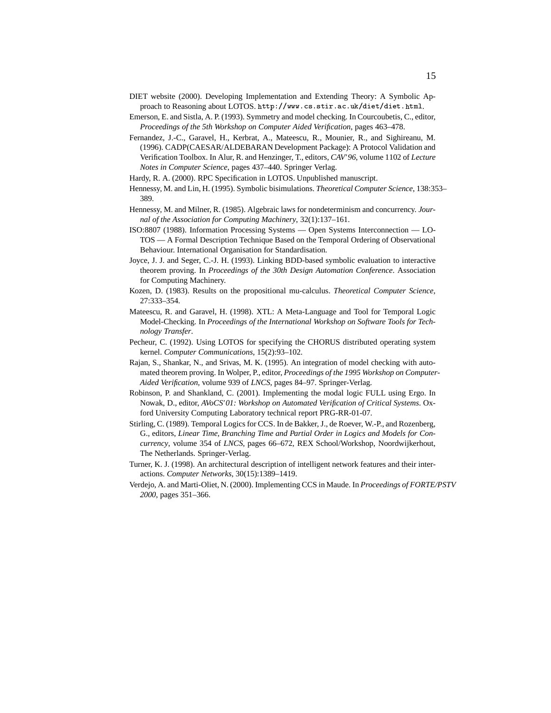- DIET website (2000). Developing Implementation and Extending Theory: A Symbolic Approach to Reasoning about LOTOS. http://www.cs.stir.ac.uk/diet/diet.html.
- Emerson, E. and Sistla, A. P. (1993). Symmetry and model checking. In Courcoubetis, C., editor, *Proceedings of the 5th Workshop on Computer Aided Verification*, pages 463–478.
- Fernandez, J.-C., Garavel, H., Kerbrat, A., Mateescu, R., Mounier, R., and Sighireanu, M. (1996). CADP(CAESAR/ALDEBARAN Development Package): A Protocol Validation and Verification Toolbox. In Alur, R. and Henzinger, T., editors, *CAV'96*, volume 1102 of *Lecture Notes in Computer Science*, pages 437–440. Springer Verlag.
- Hardy, R. A. (2000). RPC Specification in LOTOS. Unpublished manuscript.
- Hennessy, M. and Lin, H. (1995). Symbolic bisimulations. *Theoretical Computer Science*, 138:353– 389.
- Hennessy, M. and Milner, R. (1985). Algebraic laws for nondeterminism and concurrency. *Journal of the Association for Computing Machinery*, 32(1):137–161.
- ISO:8807 (1988). Information Processing Systems Open Systems Interconnection LO-TOS — A Formal Description Technique Based on the Temporal Ordering of Observational Behaviour. International Organisation for Standardisation.
- Joyce, J. J. and Seger, C.-J. H. (1993). Linking BDD-based symbolic evaluation to interactive theorem proving. In *Proceedings of the 30th Design Automation Conference*. Association for Computing Machinery.
- Kozen, D. (1983). Results on the propositional mu-calculus. *Theoretical Computer Science*, 27:333–354.
- Mateescu, R. and Garavel, H. (1998). XTL: A Meta-Language and Tool for Temporal Logic Model-Checking. In *Proceedings of the International Workshop on Software Tools for Technology Transfer*.
- Pecheur, C. (1992). Using LOTOS for specifying the CHORUS distributed operating system kernel. *Computer Communications*, 15(2):93–102.
- Rajan, S., Shankar, N., and Srivas, M. K. (1995). An integration of model checking with automated theorem proving. In Wolper, P., editor, *Proceedings of the 1995 Workshop on Computer-Aided Verification*, volume 939 of *LNCS*, pages 84–97. Springer-Verlag.
- Robinson, P. and Shankland, C. (2001). Implementing the modal logic FULL using Ergo. In Nowak, D., editor, *AVoCS'01: Workshop on Automated Verification of Critical Systems*. Oxford University Computing Laboratory technical report PRG-RR-01-07.
- Stirling, C. (1989). Temporal Logics for CCS. In de Bakker, J., de Roever, W.-P., and Rozenberg, G., editors, *Linear Time, Branching Time and Partial Order in Logics and Models for Concurrency*, volume 354 of *LNCS*, pages 66–672, REX School/Workshop, Noordwijkerhout, The Netherlands. Springer-Verlag.
- Turner, K. J. (1998). An architectural description of intelligent network features and their interactions. *Computer Networks*, 30(15):1389–1419.
- Verdejo, A. and Marti-Oliet, N. (2000). Implementing CCS in Maude. In *Proceedings of FORTE/PSTV 2000*, pages 351–366.